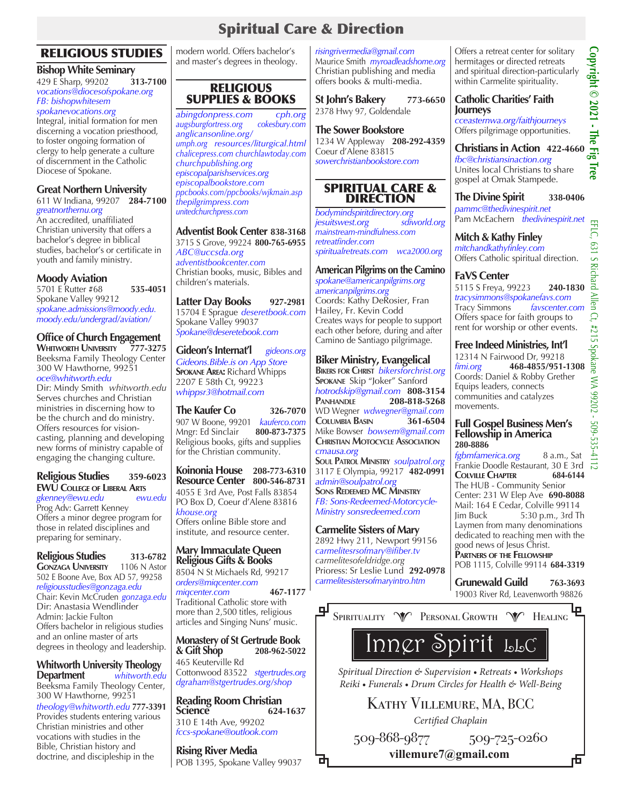# Spiritual Care & Direction

# RELIGIOUS STUDIES

# **Bishop White Seminary**<br>429 E Sharp 99202 313-7100

429 E Sharp, 99202 **313-7100** *vocations@diocesofspokane.org FB: bishopwhitesem*

# *spokanevocations.org*

Integral, initial formation for men discerning a vocation priesthood, to foster ongoing formation of clergy to help generate a culture of discernment in the Catholic Diocese of Spokane.

### **Great Northern University** 611 W Indiana, 99207 **284-7100**

*greatnorthernu.org* An accredited, unaffiliated Christian university that offers a bachelor's degree in biblical studies, bachelor's or certificate in youth and family ministry.

### **Moody Aviation**

5701 E Rutter #68 **535-4051** Spokane Valley 99212 *spokane.admissions@moody.edu. moody.edu/undergrad/aviation/*

# **Office of Church Engagement**<br>WHITWORTH UNIVERSITY 777-3275

**WHITWORTH UNIVERSITY** Beeksma Family Theology Center 300 W Hawthorne, 99251 *oce@whitworth.edu* 

Dir: Mindy Smith *whitworth.edu* Serves churches and Christian ministries in discerning how to be the church and do ministry. Offers resources for visioncasting, planning and developing new forms of ministry capable of engaging the changing culture.

### **Religious Studies 359-6023 EWU College of Liberal Arts**

*gkenney@ewu.edu ewu.edu* Prog Adv: Garrett Kenney Offers a minor degree program for those in related disciplines and preparing for seminary.

**Religious Studies 313-6782 GONZAGA UNIVERSITY** 1106 N Astor 502 E Boone Ave, Box AD 57, 99258 *religiousstudies@gonzaga.edu*  Chair: Kevin McCruden *gonzaga.edu* Dir: Anastasia Wendlinder Admin: Jackie Fulton Offers bachelor in religious studies and an online master of arts degrees in theology and leadership.

**Whitworth University Theology**<br>**Department** *whitworth.ed*  $which$ *whitworth.edu* Beeksma Family Theology Center, 300 W Hawthorne, 99251 *theology@whitworth.edu* **777-3391** Provides students entering various Christian ministries and other vocations with studies in the Bible, Christian history and doctrine, and discipleship in the

modern world. Offers bachelor's and master's degrees in theology.

### RELIGIOUS SUPPLIES & BOOKS

*abingdonpress.com cph.org augsburgfortress.org cokesbury.com anglicansonline.org/ umph.org resources/liturgical.html chalicepress.com churchlawtoday.com churchpublishing.org episcopalparishservices.org episcopalbookstore.com ppcbooks.com/ppcbooks/wjkmain.asp thepilgrimpress.com unitedchurchpress.com* 

### **Adventist Book Center 838-3168** 3715 S Grove, 99224 **800-765-6955** *ABC@uccsda.org*

*adventistbookcenter.com* Christian books, music, Bibles and children's materials.

**Latter Day Books 927-2981** 15704 E Sprague *deseretbook.com* Spokane Valley 99037 *Spokane@deseretebook.com*

**Gideon's Internat'l** *gideons.org Gideons.Bible.is on App Store* **Spokane Area:** Richard Whipps 2207 E 58th Ct, 99223 *whippsr3@hotmail.com*

**The Kaufer Co 326-7070** 907 W Boone, 99201 *kauferco.com* Mngr: Ed Sinclair **800-873-7375** Religious books, gifts and supplies for the Christian community.

**Koinonia House 208-773-6310 Resource Center 800-546-8731** 4055 E 3rd Ave, Post Falls 83854 PO Box D, Coeur d'Alene 83816

*khouse.org* Offers online Bible store and institute, and resource center.

### **Mary Immaculate Queen Religious Gifts & Books**

8504 N St Michaels Rd, 99217 *orders@miqcenter.com miqcenter.com* **467-1177** Traditional Catholic store with more than 2,500 titles, religious articles and Singing Nuns' music.

**Monastery of St Gertrude Book & Gift Shop 208-962-5022** 465 Keuterville Rd Cottonwood 83522 *stgertrudes.org dgraham@stgertrudes.org/shop*

**Reading Room Christian Science 624-1637** 310 E 14th Ave, 99202 *fccs-spokane@outlook.com*

**Rising River Media** POB 1395, Spokane Valley 99037

山

*risingrivermedia@gmail.com* Maurice Smith *myroadleadshome.org* Christian publishing and media offers books & multi-media.

**St John's Bakery 773-6650** 2378 Hwy 97, Goldendale

#### **The Sower Bookstore** 1234 W Appleway **208-292-4359** Coeur d'Alene 83815 *sowerchristianbookstore.com*

### SPIRITUAL CARE & DIRECTION

*bodymindspiritdirectory.org jesuitswest.org mainstream-mindfulness.com retreatfinder.com spiritualretreats.com wca2000.org*

### **American Pilgrims on the Camino**

*spokane@americanpilgrims.org americanpilgrims.org* Coords: Kathy DeRosier, Fran Hailey, Fr. Kevin Codd Creates ways for people to support each other before, during and after Camino de Santiago pilgrimage.

# **Biker Ministry, Evangelical**

**Bikers for Christ** *bikersforchrist.org* **Spokane** Skip "Joker" Sanford *hotrodskip@gmail.com* **808-3154 Panhandle 208-818-5268** WD Wegner *wdwegner@gmail.com* **Columbia Basin 361-6504** Mike Bowser *bowsem@gmail.com* **Christian Motocycle Association** *cmausa.org* **Soul Patrol Ministry** *soulpatrol.org* 3117 E Olympia, 99217 **482-0991** *admin@soulpatrol.org* **Sons Redeemed MC Ministry** *FB: Sons-Redeemed-Motorcycle-Ministry sonsredeemed.com*

### **Carmelite Sisters of Mary**

2892 Hwy 211, Newport 99156 *carmelitesrsofmary@ifiber.tv carmelitesofeldridge.org*  Prioress: Sr Leslie Lund **292-0978** *carmelitesistersofmaryintro.htm*

Offers a retreat center for solitary hermitages or directed retreats and spiritual direction-particularly within Carmelite spirituality.

### **Catholic Charities' Faith Journeys**

*cceasternwa.org/faithjourneys* Offers pilgrimage opportunities.

**Christians in Action 422-4660** *fbc@christiansinaction.org* Unites local Christians to share gospel at Omak Stampede.

**The Divine Spirit 338-0406** *pammc@thedivinespirit.net*  Pam McEachern *thedivinespirit.net*

**Mitch & Kathy Finley** *mitchandkathyfinley.com* Offers Catholic spiritual direction.

### **FaVS Center**

5115 S Freya, 99223 **240-1830** *tracysimmons@spokanefavs.com*  Tracy Simmons *favscenter.com* Offers space for faith groups to rent for worship or other events.

### **Free Indeed Ministries, Int'l**

12314 N Fairwood Dr, 99218 *fimi.org* **468-4855/951-1308** Coords: Daniel & Robby Grether Equips leaders, connects communities and catalyzes movements.

### **Full Gospel Business Men's Fellowship in America 280-8886**

*fgbmfamerica.org* 8 a.m., Sat Frankie Doodle Restaurant, 30 E 3rd<br>COLVILLE CHAPTER 684-6144 **COLVILLE CHAPTER** The HUB - Community Senior Center: 231 W Elep Ave **690-8088** Mail: 164 E Cedar, Colville 99114 Jim Buck 5:30 p.m., 3rd Th Laymen from many denominations dedicated to reaching men with the good news of Jesus Christ. **Partners of the Fellowship**

POB 1115, Colville 99114 **684-3319**

**Grunewald Guild 763-3693** 19003 River Rd, Leavenworth 98826



# Inner Spirit LLC

*Spiritual Direction & Supervision • Retreats • Workshops Reiki • Funerals • Drum Circles for Health & Well-Being*

Kathy Villemure, MA, BCC

*Certified Chaplain*

509-868-9877 509-725-0260 **villemure7@gmail.com www.innerspirit.help villemure7@gmail.com**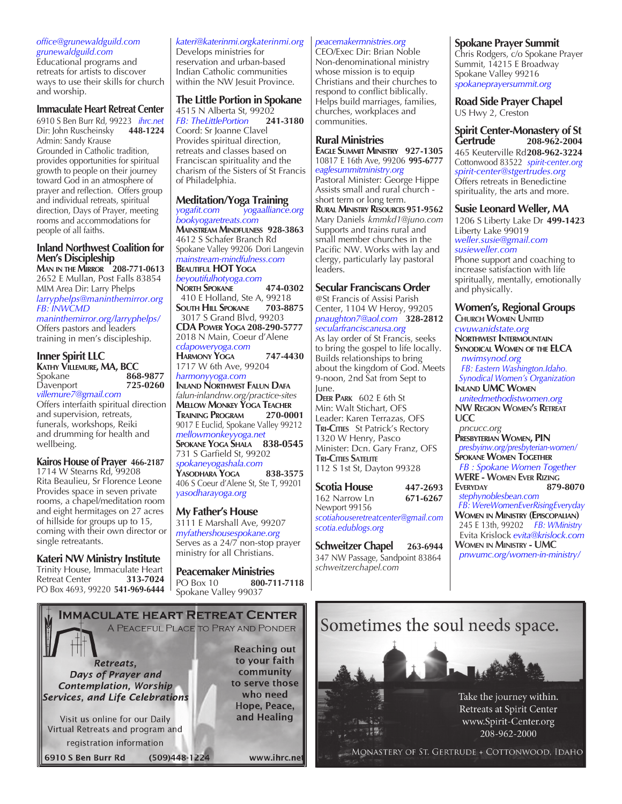#### *office@grunewaldguild.com grunewaldguild.com*

Educational programs and retreats for artists to discover ways to use their skills for church and worship.

### **Immaculate Heart Retreat Center**

6910 S Ben Burr Rd, 99223 *ihrc.net* Dir: John Ruscheinsky **448-1224** Admin: Sandy Krause Grounded in Catholic tradition, provides opportunities for spiritual growth to people on their journey toward God in an atmosphere of prayer and reflection. Offers group and individual retreats, spiritual direction, Days of Prayer, meeting rooms and accommodations for people of all faiths.

### **Inland Northwest Coalition for Men's Discipleship**

**Man in the Mirror 208-771-0613** 2652 E Mullan, Post Falls 83854 MIM Area Dir: Larry Phelps *larryphelps@maninthemirror.org FB: INWCMD maninthemirror.org/larryphelps/* Offers pastors and leaders training in men's discipleship.

### **Inner Spirit LLC**

**KATHY VILLEMURE, MA, BCC**<br>Spokane **868** 868-9877<br>725-0260 Davenport *villemure7@gmail.com* Offers interfaith spiritual direction

and supervision, retreats, funerals, workshops, Reiki and drumming for health and wellbeing.

#### **Kairos House of Prayer 466-2187** 1714 W Stearns Rd, 99208 Rita Beaulieu, Sr Florence Leone Provides space in seven private rooms, a chapel/meditation room and eight hermitages on 27 acres of hillside for groups up to 15, coming with their own director or

**Kateri NW Ministry Institute** Trinity House, Immaculate Heart<br>Retreat Center **313-7024** 

single retreatants.

**Retreat Center** PO Box 4693, 99220 **541-969-6444**

### *kateri@katerinmi.orgkaterinmi.org*

Develops ministries for reservation and urban-based Indian Catholic communities within the NW Jesuit Province.

# **The Little Portion in Spokane**

4515 N Alberta St, 99202<br>FB: The Little Portion 241-3180 *FB: TheLittlePortion* Coord: Sr Joanne Clavel Provides spiritual direction, retreats and classes based on Franciscan spirituality and the charism of the Sisters of St Francis of Philadelphia.

# **Meditation/Yoga Training**<br>*yogafit.com yogaalliance.*

*yogafit.com yogaalliance.org bookyogaretreats.com* **Mainstream Mindfulness 928-3863** 4612 S Schafer Branch Rd Spokane Valley 99206 Dori Langevin *mainstream-mindfulness.com* **Beautiful HOT Yoga**

### *beyoutifulhotyoga.com*

**North Spokane 474-0302** 410 E Holland, Ste A, 99218<br>**SOUTH HILL SPOKANE** 703-8875 **SOUTH HILL SPOKANE**  3017 S Grand Blvd, 99203 **CDA Power Yoga 208-290-5777** 2018 N Main, Coeur d'Alene *cdapoweryoga.com* **Harmony Yoga 747-4430** 1717 W 6th Ave, 99204

*harmonyyoga.com* **Inland Northwest Falun Dafa** *falun-inlandnw.org/practice-sites* **Mellow Monkey Yoga Teacher Training Program 270-0001** 9017 E Euclid, Spokane Valley 99212 *mellowmonkeyyoga.net* **Spokane Yoga Shala 838-0545** 731 S Garfield St, 99202 *spokaneyogashala.com* **Yasodhara Yoga 838-3575** 406 S Coeur d'Alene St, Ste T, 99201 *yasodharayoga.org*

### **My Father's House**

3111 E Marshall Ave, 99207 *myfathershousespokane.org* Serves as a 24/7 non-stop prayer ministry for all Christians.

**Peacemaker Ministries** PO Box 10 **800-711-7118** Spokane Valley 99037

### *peacemakermnistries.org*

CEO/Exec Dir: Brian Noble Non-denominational ministry whose mission is to equip Christians and their churches to respond to conflict biblically. Helps build marriages, families, churches, workplaces and communities.

### **Rural Ministries**

**Eagle Summit Ministry 927-1305** 10817 E 16th Ave, 99206 **995-6777** *eaglesummitministry.org* Pastoral Minister: George Hippe Assists small and rural church short term or long term. **Rural Ministry Resources 951-9562** Mary Daniels *kmmkd1@juno.com* Supports and trains rural and small member churches in the Pacific NW. Works with lay and clergy, particularly lay pastoral leaders.

### **Secular Franciscans Order**

@St Francis of Assisi Parish Center, 1104 W Heroy, 99205 *pnaughton7@aol.com* **328-2812** *secularfranciscanusa.org*

As lay order of St Francis, seeks to bring the gospel to life locally. Builds relationships to bring about the kingdom of God. Meets 9-noon, 2nd Sat from Sept to June.

**Deer Park** 602 E 6th St Min: Walt Stichart, OFS Leader: Karen Terrazas, OFS **Tri-Cities** St Patrick's Rectory 1320 W Henry, Pasco Minister: Dcn. Gary Franz, OFS **Tri-Cities Satelite** 112 S 1st St, Dayton 99328

**Scotia House 447-2693** 162 Narrow Ln **671-6267** Newport 99156 *scotiahouseretreatcenter@gmail.com scotia.edublogs.org*

**Schweitzer Chapel 263-6944** 347 NW Passage, Sandpoint 83864 *schweitzerchapel.com*

### **Spokane Prayer Summit**

Chris Rodgers, c/o Spokane Prayer Summit, 14215 E Broadway Spokane Valley 99216 *spokaneprayersummit.org*

**Road Side Prayer Chapel** US Hwy 2, Creston

**Spirit Center-Monastery of St Gertrude 208-962-2004** 465 Keuterville Rd**208-962-3224** Cottonwood 83522 *spirit-center.org spirit-center@stgertrudes.org* Offers retreats in Benedictine spirituality, the arts and more.

### **Susie Leonard Weller, MA**

1206 S Liberty Lake Dr **499-1423** Liberty Lake 99019 *weller.susie@gmail.com susieweller.com*

Phone support and coaching to increase satisfaction with life spiritually, mentally, emotionally and physically.

# **Women's, Regional Groups**

**Church Women United** *cwuwanidstate.org* **Northwest Intermountain Synodical Women of the ELCA** *nwimsynod.org FB: Eastern Washington.Idaho. Synodical Women's Organization*  **Inland UMC Women**

 *unitedmethodistwomen.org* **NW Region Women's Retreat UCC** 

*pncucc.org* **Presbyterian Women, PIN** *presbyinw.org/presbyterian-women/* **Spokane Women Together**  *FB : Spokane Women Together* **WERE - Women Ever Rizing Everyday 879-8070**  *stephynoblesbean.com FB: WereWomenEverRisingEveryday* **Women in Ministry (Episcopalian)**  245 E 13th, 99202 *FB: WMinistry* Evita Krislock *evita@krislock.com* **Women in Ministry - UMC** *pnwumc.org/women-in-ministry/*



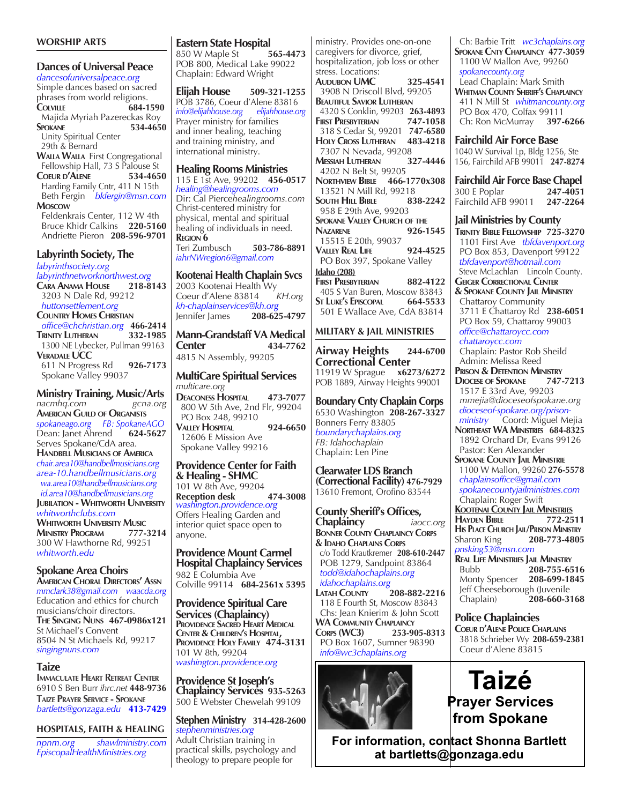### **WORSHIP ARTS**

**Dances of Universal Peace** *dancesofuniversalpeace.org* Simple dances based on sacred phrases from world religions. **Colville 684-1590** Majida Myriah Pazereckas Roy<br>**534-465** 534-465 **Spokane 534-4650** Unity Spiritual Center 29th & Bernard **Walla Walla** First Congregational Fellowship Hall, 73 S Palouse St **Coeur d'Alene 534-4650** Harding Family Cntr, 411 N 15th Beth Fergin *bkfergin@msn.com*  **Moscow** Feldenkrais Center, 112 W 4th Bruce Khidr Calkins **220-5160** Andriette Pieron **208-596-9701 Labyrinth Society, The** *labyrinthsociety.org labyrinthnetworknorthwest.org* **Cara Anama House 218-8143**

 3203 N Dale Rd, 99212 *huttonsettlement.org* **Country Homes Christian**  *office@chchristian.org* **466-2414 Trinity Lutheran 332-1985** 1300 NE Lybecker, Pullman 99163<br>**VERADALE UCC Veradale UCC** 611 N Progress Rd **926-7173** Spokane Valley 99037

**Ministry Training, Music/Arts**<br>nacmhq.com<br>gcna.org *nacmhq.com* **American Guild of Organists** *spokaneago.org FB: SpokaneAGO* Dean: Janet Ahrend **624-5627** Serves Spokane/CdA area. **Handbell Musicians of America** *chair.area10@handbellmusicians.org area-10.handbellmusicians.org wa.area10@handbellmusicians.org id.area10@handbellmusicians.org* **Jubilation - Whitworth University** *whitworthclubs.com* **Whitworth University Music Ministry Program 777-3214** 300 W Hawthorne Rd, 99251 *whitworth.edu*

**Spokane Area Choirs American Choral Directors' Assn** *mmclark38@gmail.com waacda.org* Education and ethics for church musicians/choir directors. **The Singing Nuns 467-0986x121** St Michael's Convent 8504 N St Michaels Rd, 99217 *singingnuns.com*

### **Taize**

**Immaculate Heart Retreat Center** 6910 S Ben Burr *ihrc.net* **448-9736 Taize Prayer Service - Spokane** *bartletts@gonzaga.edu* **413-7429**

**HOSPITALS, FAITH & HEALING**

*npnm.org shawlministry.com EpiscopalHealthMinistries.org*

### **Eastern State Hospital**

850 W Maple St **565-4473** POB 800, Medical Lake 99022 Chaplain: Edward Wright

**Elijah House 509-321-1255** PÓB 3786, Coeur d'Alene 83816<br>
info@elijahhouse.org elijahhouse.org *info@elijahhouse.org* Prayer ministry for families and inner healing, teaching and training ministry, and international ministry.

#### **Healing Rooms Ministries**

115 E 1st Ave, 99202 **456-0517** *healing@healingrooms.com* Dir: Cal Pierce*healingrooms.com* Christ-centered ministry for physical, mental and spiritual healing of individuals in need. **Region 6**

Teri Zumbusch **503-786-8891** *iahrNWregion6@gmail.com*

### **Kootenai Health Chaplain Svcs**

2003 Kootenai Health Wy Coeur d'Alene 83814 *KH.org kh-chaplainservices@kh.org* Jennifer James **208-625-4797**

**Mann-Grandstaff VA Medical Center 434-7762** 4815 N Assembly, 99205

**MultiCare Spiritual Services** *multicare.org* **Deaconess Hospital 473-7077** 800 W 5th Ave, 2nd Flr, 99204 PO Box 248, 99210 **Valley Hospital 924-6650** 12606 E Mission Ave Spokane Valley 99216

**Providence Center for Faith & Healing - SHMC** 101 W 8th Ave, 99204 **Reception desk 474-3008** *washington.providence.org* Offers Healing Garden and interior quiet space open to anyone.

**Providence Mount Carmel Hospital Chaplaincy Services** 982 E Columbia Ave Colville 99114 **684-2561x 5395**

**Providence Spiritual Care Services (Chaplaincy) Providence Sacred Heart Medical PROVIDENCE HOLY FAMILY 474-3131** 101 W 8th, 99204 *washington.providence.org*

### **Providence St Joseph's**

**Chaplaincy Services 935-5263** 500 E Webster Chewelah 99109

#### **Stephen Ministry 314-428-2600** *stephenministries.org*

Adult Christian training in practical skills, psychology and theology to prepare people for

caregivers for divorce, grief, hospitalization, job loss or other stress. Locations: **Audubon UMC 325-4541** 3908 N Driscoll Blvd, 99205 **Beautiful Savior Lutheran** 4320 S Conklin, 99203 **263-4893 First Presbyterian 747-1058** 318 S Cedar St, 99201 **747-6580 Holy Cross Lutheran 483-4218** 7307 N Nevada, 99208<br>**Messiah Lutheran** 327**-4446 Messiah Lutheran 327-4446** 4202 N Belt St, 99205 **Northview Bible 466-1770x308** 13521 N Mill Rd, 99218<br>South Hill Bible 838-2242 **SOUTH HILL BIBLE**  958 E 29th Ave, 99203 **Spokane Valley Church of the Nazarene 926-1545** 15515 E 20th, 99037 **Valley Real Life 924-4525** PO Box 397, Spokane Valley **Idaho (208) First Presbyterian 882-4122** 405 S Van Buren, Moscow 83843<br>
ST LUKE'S EPISCOPAL 664-5533 **St LUKE's EPISCOPAL**  501 E Wallace Ave, CdA 83814 **MILITARY & JAIL MINISTRIES Airway Heights 244-6700 Correctional Center**<br>11919 W Sprague x6273/6272 11919 W Sprague **x6273/6272** POB 1889, Airway Heights 99001 **Boundary Cnty Chaplain Corps** 6530 Washington **208-267-3327** Bonners Ferry 83805 *boundarychaplains.org FB: Idahochaplain* Chaplain: Len Pine **Clearwater LDS Branch (Correctional Facility) 476-7929** 13610 Fremont, Orofino 83544 **County Sheriff's Offices, Chaplaincy** *iaocc.org* **Bonner County Chaplaincy Corps & Idaho Chaplains Corps** c/o Todd Krautkremer **208-610-2447** POB 1279, Sandpoint 83864  *todd@idahochaplains.org idahochaplains.org* **LATAH COUNTY** 

ministry. Provides one-on-one

 118 E Fourth St, Moscow 83843 Chs: Jean Knierim & John Scott **WA Community Chaplaincy Corps (WC3) 253-905-8313** PO Box 1607, Sumner 98390  *info@wc3chaplains.org*



 Ch: Barbie Tritt *wc3chaplains.org* **Spokane Cnty Chaplaincy 477-3059** 1100 W Mallon Ave, 99260  *spokanecounty.org* Lead Chaplain: Mark Smith **Whitman County Sheriff's Chaplaincy** 411 N Mill St *whitmancounty.org* PO Box 470, Colfax 99111 Ch: Ron McMurray **397-6266**

### **Fairchild Air Force Base**

1040 W Survival Lp, Bldg 1256, Ste 156, Fairchild AFB 99011 **247-8274**

# **Fairchild Air Force Base Chapel**<br>300 E Poplar **247-4051** 300 E Poplar **247-4051**

Fairchild AFB 99011 **247-2264**

### **Jail Ministries by County**

**Trinity Bible Fellowship 725-3270** 1101 First Ave *tbfdavenport.org* PO Box 853, Davenport 99122  *tbfdavenport@hotmail.com* Steve McLachlan Lincoln County. **GEIGER CORRECTIONAL CENTER & Spokane County Jail Ministry** Chattaroy Community 3711 E Chattaroy Rd **238-6051** PO Box 59, Chattaroy 99003  *office@chattaroycc.com chattaroycc.com* Chaplain: Pastor Rob Sheild Admin: Melissa Reed **Prison & Detention Ministry Diocese of Spokane 747-7213** 1517 E 33rd Ave, 99203  *mmejia@dioceseofspokane.org dioceseof-spokane.org/prison ministry* Coord: Miguel Mejia **Northeast WA Ministries 684-8325** 1892 Orchard Dr, Evans 99126 Pastor: Ken Alexander **Spokane County Jail Ministrie** 1100 W Mallon, 99260 **276-5578**  *chaplainsoffice@gmail.com spokanecountyjailministries.com* Chaplain: Roger Swift **Kootenai County Jail Ministries Hayden Bible 772-2511 His PLACE CHURCH JAIL/PRISON MINISTRY**<br>Sharon King 208-773-4805 Sharon King **208-773-4805**  *pnsking53@msn.com*  **Real Life Ministries Jail Ministry** Bubb **208-755-6516 Monty Spencer** Jeff Cheeseborough (Juvenile

Chaplain) **208-660-3168**

### **Police Chaplaincies**

**Coeur d'Alene Police Chaplains** 3818 Schrieber Wy **208-659-2381** Coeur d'Alene 83815

**Taizé Prayer Services from Spokane**

**For information, contact Shonna Bartlett at bartletts@gonzaga.edu**